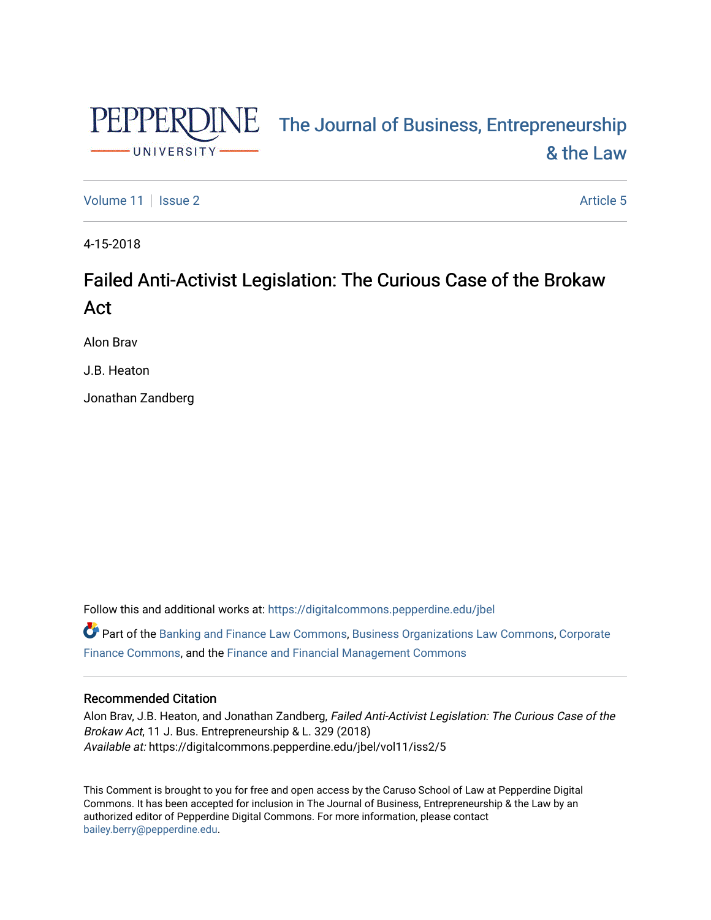

# PEPPERDINE The Journal of Business, Entrepreneurship [& the Law](https://digitalcommons.pepperdine.edu/jbel)

[Volume 11](https://digitalcommons.pepperdine.edu/jbel/vol11) | [Issue 2](https://digitalcommons.pepperdine.edu/jbel/vol11/iss2) Article 5

4-15-2018

# Failed Anti-Activist Legislation: The Curious Case of the Brokaw Act

Alon Brav

J.B. Heaton

Jonathan Zandberg

Follow this and additional works at: [https://digitalcommons.pepperdine.edu/jbel](https://digitalcommons.pepperdine.edu/jbel?utm_source=digitalcommons.pepperdine.edu%2Fjbel%2Fvol11%2Fiss2%2F5&utm_medium=PDF&utm_campaign=PDFCoverPages) 

Part of the [Banking and Finance Law Commons,](http://network.bepress.com/hgg/discipline/833?utm_source=digitalcommons.pepperdine.edu%2Fjbel%2Fvol11%2Fiss2%2F5&utm_medium=PDF&utm_campaign=PDFCoverPages) [Business Organizations Law Commons](http://network.bepress.com/hgg/discipline/900?utm_source=digitalcommons.pepperdine.edu%2Fjbel%2Fvol11%2Fiss2%2F5&utm_medium=PDF&utm_campaign=PDFCoverPages), [Corporate](http://network.bepress.com/hgg/discipline/629?utm_source=digitalcommons.pepperdine.edu%2Fjbel%2Fvol11%2Fiss2%2F5&utm_medium=PDF&utm_campaign=PDFCoverPages)  [Finance Commons,](http://network.bepress.com/hgg/discipline/629?utm_source=digitalcommons.pepperdine.edu%2Fjbel%2Fvol11%2Fiss2%2F5&utm_medium=PDF&utm_campaign=PDFCoverPages) and the [Finance and Financial Management Commons](http://network.bepress.com/hgg/discipline/631?utm_source=digitalcommons.pepperdine.edu%2Fjbel%2Fvol11%2Fiss2%2F5&utm_medium=PDF&utm_campaign=PDFCoverPages) 

# Recommended Citation

Alon Brav, J.B. Heaton, and Jonathan Zandberg, Failed Anti-Activist Legislation: The Curious Case of the Brokaw Act, 11 J. Bus. Entrepreneurship & L. 329 (2018) Available at: https://digitalcommons.pepperdine.edu/jbel/vol11/iss2/5

This Comment is brought to you for free and open access by the Caruso School of Law at Pepperdine Digital Commons. It has been accepted for inclusion in The Journal of Business, Entrepreneurship & the Law by an authorized editor of Pepperdine Digital Commons. For more information, please contact [bailey.berry@pepperdine.edu](mailto:bailey.berry@pepperdine.edu).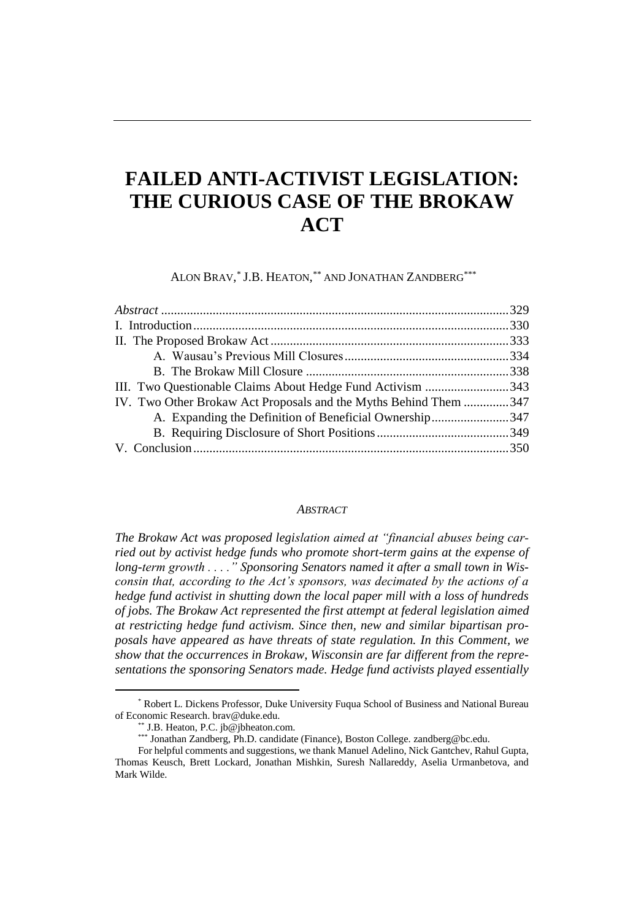# **FAILED ANTI-ACTIVIST LEGISLATION: THE CURIOUS CASE OF THE BROKAW ACT**

ALON BRAV, *\** J.B. HEATON, *\*\** AND JONATHAN ZANDBERG*\*\*\**

| III. Two Questionable Claims About Hedge Fund Activism 343       |  |
|------------------------------------------------------------------|--|
| IV. Two Other Brokaw Act Proposals and the Myths Behind Them 347 |  |
| A. Expanding the Definition of Beneficial Ownership347           |  |
|                                                                  |  |
|                                                                  |  |

#### *ABSTRACT*

*The Brokaw Act was proposed legislation aimed at "financial abuses being carried out by activist hedge funds who promote short-term gains at the expense of*  long-term growth . . . . " Sponsoring Senators named it after a small town in Wis*consin that, according to the Act's sponsors, was decimated by the actions of a hedge fund activist in shutting down the local paper mill with a loss of hundreds of jobs. The Brokaw Act represented the first attempt at federal legislation aimed at restricting hedge fund activism. Since then, new and similar bipartisan proposals have appeared as have threats of state regulation. In this Comment, we show that the occurrences in Brokaw, Wisconsin are far different from the representations the sponsoring Senators made. Hedge fund activists played essentially* 

<sup>\*</sup> Robert L. Dickens Professor, Duke University Fuqua School of Business and National Bureau of Economic Research. brav@duke.edu.

<sup>\*\*</sup> J.B. Heaton, P.C. jb@jbheaton.com.

<sup>\*\*\*</sup> Jonathan Zandberg, Ph.D. candidate (Finance), Boston College[. zandberg@bc.edu.](mailto:zandberg@bc.edu)

For helpful comments and suggestions, we thank Manuel Adelino, Nick Gantchev, Rahul Gupta, Thomas Keusch, Brett Lockard, Jonathan Mishkin, Suresh Nallareddy, Aselia Urmanbetova, and Mark Wilde.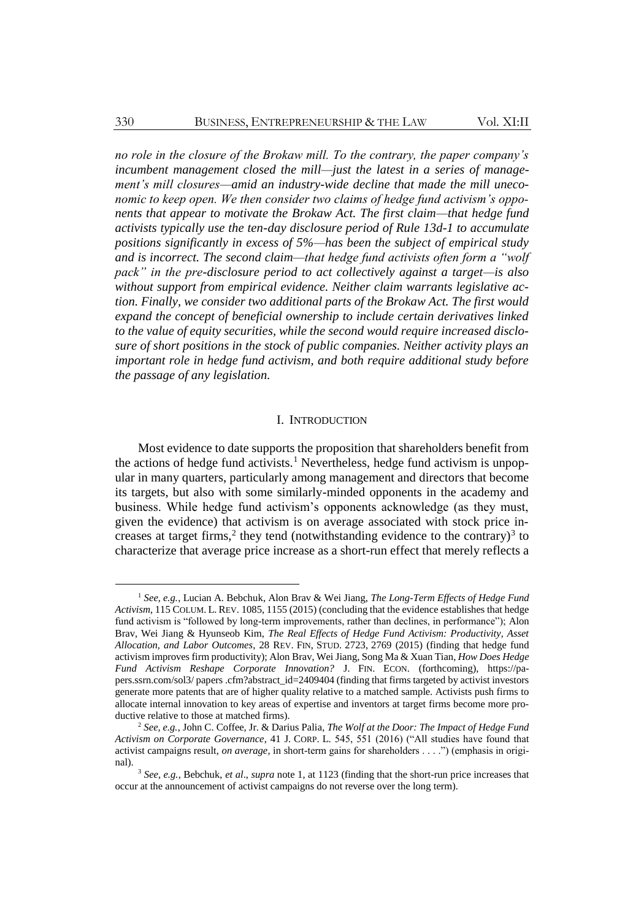*no role in the closure of the Brokaw mill. To the contrary, the paper company's incumbent management closed the mill—just the latest in a series of management's mill closures—amid an industry-wide decline that made the mill uneconomic to keep open. We then consider two claims of hedge fund activism's opponents that appear to motivate the Brokaw Act. The first claim—that hedge fund activists typically use the ten-day disclosure period of Rule 13d-1 to accumulate positions significantly in excess of 5%—has been the subject of empirical study and is incorrect. The second claim—that hedge fund activists often form a "wolf pack" in the pre-disclosure period to act collectively against a target—is also without support from empirical evidence. Neither claim warrants legislative action. Finally, we consider two additional parts of the Brokaw Act. The first would expand the concept of beneficial ownership to include certain derivatives linked to the value of equity securities, while the second would require increased disclosure of short positions in the stock of public companies. Neither activity plays an important role in hedge fund activism, and both require additional study before the passage of any legislation.*

### <span id="page-2-1"></span><span id="page-2-0"></span>I. INTRODUCTION

Most evidence to date supports the proposition that shareholders benefit from the actions of hedge fund activists.<sup>1</sup> Nevertheless, hedge fund activism is unpopular in many quarters, particularly among management and directors that become its targets, but also with some similarly-minded opponents in the academy and business. While hedge fund activism's opponents acknowledge (as they must, given the evidence) that activism is on average associated with stock price increases at target firms,<sup>2</sup> they tend (notwithstanding evidence to the contrary)<sup>3</sup> to characterize that average price increase as a short-run effect that merely reflects a

<sup>1</sup> *See, e.g.*, Lucian A. Bebchuk, Alon Brav & Wei Jiang, *The Long-Term Effects of Hedge Fund Activism*, 115 COLUM. L. REV. 1085, 1155 (2015) (concluding that the evidence establishes that hedge fund activism is "followed by long-term improvements, rather than declines, in performance"); Alon Brav, Wei Jiang & Hyunseob Kim, *The Real Effects of Hedge Fund Activism: Productivity, Asset Allocation, and Labor Outcomes*, 28 REV. FIN, STUD. 2723, 2769 (2015) (finding that hedge fund activism improves firm productivity); Alon Brav, Wei Jiang, Song Ma & Xuan Tian, *How Does Hedge Fund Activism Reshape Corporate Innovation?* J. FIN. ECON. (forthcoming), https://papers.ssrn.com/sol3/ papers .cfm?abstract\_id=2409404 (finding that firms targeted by activist investors generate more patents that are of higher quality relative to a matched sample. Activists push firms to allocate internal innovation to key areas of expertise and inventors at target firms become more productive relative to those at matched firms).

<sup>2</sup> *See, e.g.*, John C. Coffee, Jr. & Darius Palia, *The Wolf at the Door: The Impact of Hedge Fund Activism on Corporate Governance*, 41 J. CORP. L. 545, 551 (2016) ("All studies have found that activist campaigns result, *on average*, in short-term gains for shareholders . . . .") (emphasis in original).

<sup>3</sup> *See, e.g.*, Bebchuk, *et al*., *supra* not[e 1,](#page-2-0) at 1123 (finding that the short-run price increases that occur at the announcement of activist campaigns do not reverse over the long term).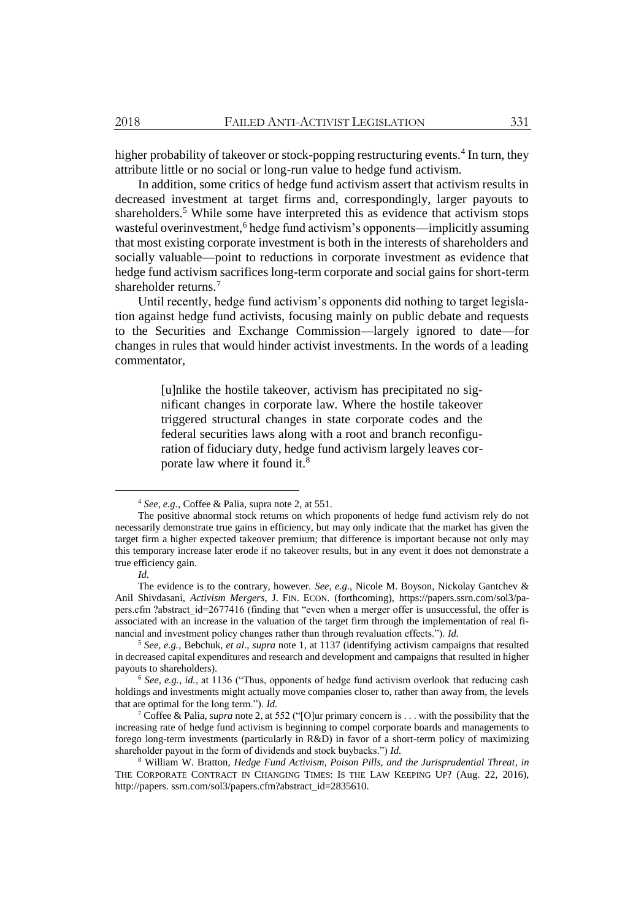higher probability of takeover or stock-popping restructuring events.<sup>4</sup> In turn, they attribute little or no social or long-run value to hedge fund activism.

In addition, some critics of hedge fund activism assert that activism results in decreased investment at target firms and, correspondingly, larger payouts to shareholders.<sup>5</sup> While some have interpreted this as evidence that activism stops wasteful overinvestment,<sup>6</sup> hedge fund activism's opponents—implicitly assuming that most existing corporate investment is both in the interests of shareholders and socially valuable—point to reductions in corporate investment as evidence that hedge fund activism sacrifices long-term corporate and social gains for short-term shareholder returns.<sup>7</sup>

Until recently, hedge fund activism's opponents did nothing to target legislation against hedge fund activists, focusing mainly on public debate and requests to the Securities and Exchange Commission—largely ignored to date—for changes in rules that would hinder activist investments. In the words of a leading commentator,

> [u]nlike the hostile takeover, activism has precipitated no significant changes in corporate law. Where the hostile takeover triggered structural changes in state corporate codes and the federal securities laws along with a root and branch reconfiguration of fiduciary duty, hedge fund activism largely leaves corporate law where it found it.<sup>8</sup>

<sup>4</sup> *See, e.g.*, Coffee & Palia, supra not[e 2,](#page-2-1) at 551.

The positive abnormal stock returns on which proponents of hedge fund activism rely do not necessarily demonstrate true gains in efficiency, but may only indicate that the market has given the target firm a higher expected takeover premium; that difference is important because not only may this temporary increase later erode if no takeover results, but in any event it does not demonstrate a true efficiency gain.

*Id.*

The evidence is to the contrary, however. *See, e.g.*, Nicole M. Boyson, Nickolay Gantchev & Anil Shivdasani, *Activism Mergers*, J. FIN. ECON. (forthcoming), https://papers.ssrn.com/sol3/papers.cfm ?abstract\_id=2677416 (finding that "even when a merger offer is unsuccessful, the offer is associated with an increase in the valuation of the target firm through the implementation of real financial and investment policy changes rather than through revaluation effects."). *Id.*

<sup>5</sup> *See, e.g.*, Bebchuk, *et al*., *supra* note [1,](#page-2-0) at 1137 (identifying activism campaigns that resulted in decreased capital expenditures and research and development and campaigns that resulted in higher payouts to shareholders).

<sup>6</sup> *See, e.g.*, *id.*, at 1136 ("Thus, opponents of hedge fund activism overlook that reducing cash holdings and investments might actually move companies closer to, rather than away from, the levels that are optimal for the long term."). *Id.*

<sup>7</sup> Coffee & Palia, *supra* not[e 2,](#page-2-1) at 552 ("[O]ur primary concern is . . . with the possibility that the increasing rate of hedge fund activism is beginning to compel corporate boards and managements to forego long-term investments (particularly in R&D) in favor of a short-term policy of maximizing shareholder payout in the form of dividends and stock buybacks.") *Id.*

<sup>8</sup> William W. Bratton, *Hedge Fund Activism, Poison Pills, and the Jurisprudential Threat*, *in* THE CORPORATE CONTRACT IN CHANGING TIMES: IS THE LAW KEEPING UP? (Aug. 22, 2016), http://papers. ssrn.com/sol3/papers.cfm?abstract\_id=2835610.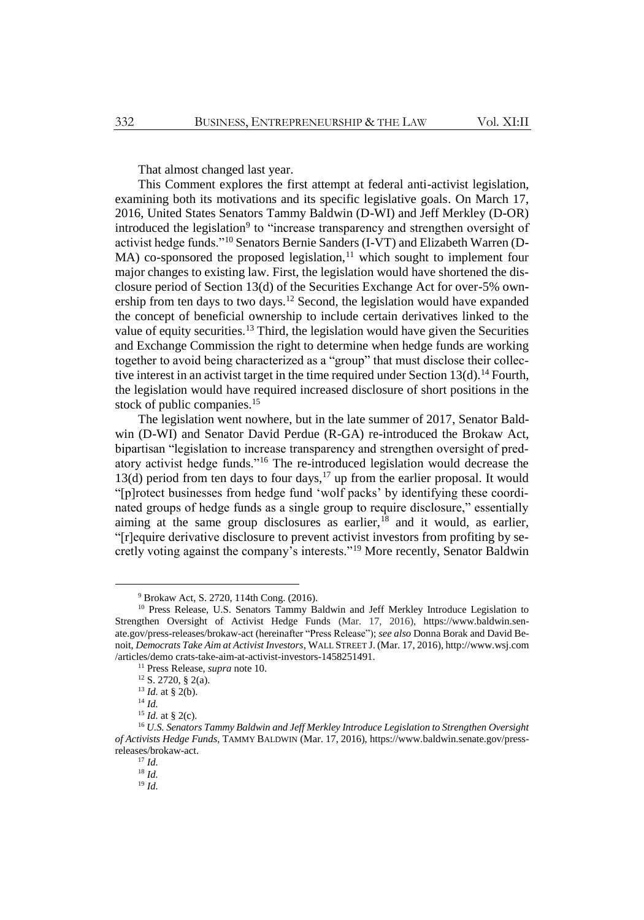<span id="page-4-0"></span>That almost changed last year.

This Comment explores the first attempt at federal anti-activist legislation, examining both its motivations and its specific legislative goals. On March 17, 2016, United States Senators Tammy Baldwin (D-WI) and Jeff Merkley (D-OR) introduced the legislation<sup>9</sup> to "increase transparency and strengthen oversight of activist hedge funds."<sup>10</sup> Senators Bernie Sanders (I-VT) and Elizabeth Warren (D-MA) co-sponsored the proposed legislation,<sup>11</sup> which sought to implement four major changes to existing law. First, the legislation would have shortened the disclosure period of Section 13(d) of the Securities Exchange Act for over-5% ownership from ten days to two days.<sup>12</sup> Second, the legislation would have expanded the concept of beneficial ownership to include certain derivatives linked to the value of equity securities.<sup>13</sup> Third, the legislation would have given the Securities and Exchange Commission the right to determine when hedge funds are working together to avoid being characterized as a "group" that must disclose their collective interest in an activist target in the time required under Section  $13(d)$ .<sup>14</sup> Fourth, the legislation would have required increased disclosure of short positions in the stock of public companies.<sup>15</sup>

<span id="page-4-1"></span>The legislation went nowhere, but in the late summer of 2017, Senator Baldwin (D-WI) and Senator David Perdue (R-GA) re-introduced the Brokaw Act, bipartisan "legislation to increase transparency and strengthen oversight of predatory activist hedge funds."<sup>16</sup> The re-introduced legislation would decrease the 13(d) period from ten days to four days,<sup>17</sup> up from the earlier proposal. It would "[p]rotect businesses from hedge fund 'wolf packs' by identifying these coordinated groups of hedge funds as a single group to require disclosure," essentially aiming at the same group disclosures as earlier, $18$  and it would, as earlier, "[r]equire derivative disclosure to prevent activist investors from profiting by secretly voting against the company's interests."<sup>19</sup> More recently, Senator Baldwin

<sup>9</sup> Brokaw Act, S. 2720, 114th Cong. (2016).

<sup>&</sup>lt;sup>10</sup> Press Release, U.S. Senators Tammy Baldwin and Jeff Merkley Introduce Legislation to Strengthen Oversight of Activist Hedge Funds (Mar. 17, 2016), https://www.baldwin.senate.gov/press-releases/brokaw-act (hereinafter "Press Release"); *see also* Donna Borak and David Benoit, *Democrats Take Aim at Activist Investors*, WALL STREET J. (Mar. 17, 2016), http://www.wsj.com /articles/demo crats-take-aim-at-activist-investors-1458251491.

<sup>11</sup> Press Release, *supra* not[e 10.](#page-4-0)

<sup>12</sup> S. 2720, § 2(a).

<sup>13</sup> *Id.* at § 2(b).

<sup>14</sup> *Id.*

<sup>15</sup> *Id.* at § 2(c).

<sup>16</sup> *U.S. Senators Tammy Baldwin and Jeff Merkley Introduce Legislation to Strengthen Oversight of Activists Hedge Funds*, TAMMY BALDWIN (Mar. 17, 2016), https://www.baldwin.senate.gov/pressreleases/brokaw-act.

<sup>17</sup> *Id.*

<sup>18</sup> *Id.*

<sup>19</sup> *Id.*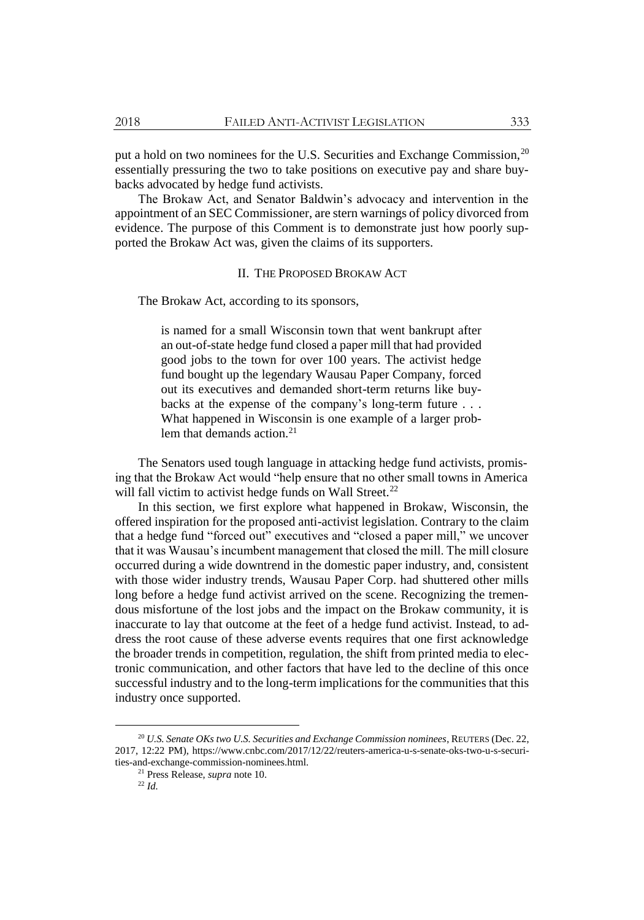put a hold on two nominees for the U.S. Securities and Exchange Commission,<sup>20</sup> essentially pressuring the two to take positions on executive pay and share buybacks advocated by hedge fund activists.

The Brokaw Act, and Senator Baldwin's advocacy and intervention in the appointment of an SEC Commissioner, are stern warnings of policy divorced from evidence. The purpose of this Comment is to demonstrate just how poorly supported the Brokaw Act was, given the claims of its supporters.

### II. THE PROPOSED BROKAW ACT

The Brokaw Act, according to its sponsors,

is named for a small Wisconsin town that went bankrupt after an out-of-state hedge fund closed a paper mill that had provided good jobs to the town for over 100 years. The activist hedge fund bought up the legendary Wausau Paper Company, forced out its executives and demanded short-term returns like buybacks at the expense of the company's long-term future . . . What happened in Wisconsin is one example of a larger problem that demands action.<sup>21</sup>

The Senators used tough language in attacking hedge fund activists, promising that the Brokaw Act would "help ensure that no other small towns in America will fall victim to activist hedge funds on Wall Street. $^{22}$ 

In this section, we first explore what happened in Brokaw, Wisconsin, the offered inspiration for the proposed anti-activist legislation. Contrary to the claim that a hedge fund "forced out" executives and "closed a paper mill," we uncover that it was Wausau's incumbent management that closed the mill. The mill closure occurred during a wide downtrend in the domestic paper industry, and, consistent with those wider industry trends, Wausau Paper Corp. had shuttered other mills long before a hedge fund activist arrived on the scene. Recognizing the tremendous misfortune of the lost jobs and the impact on the Brokaw community, it is inaccurate to lay that outcome at the feet of a hedge fund activist. Instead, to address the root cause of these adverse events requires that one first acknowledge the broader trends in competition, regulation, the shift from printed media to electronic communication, and other factors that have led to the decline of this once successful industry and to the long-term implications for the communities that this industry once supported.

<sup>20</sup> *U.S. Senate OKs two U.S. Securities and Exchange Commission nominees*, REUTERS (Dec. 22, 2017, 12:22 PM), https://www.cnbc.com/2017/12/22/reuters-america-u-s-senate-oks-two-u-s-securities-and-exchange-commission-nominees.html.

<sup>21</sup> Press Release, *supra* not[e 10.](#page-4-0)

<sup>22</sup> *Id.*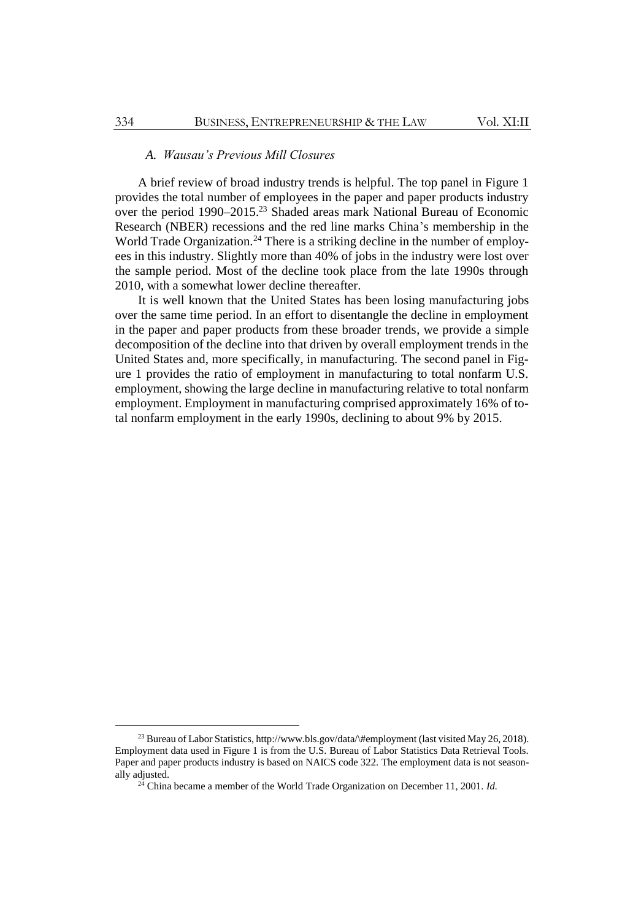# *A. Wausau's Previous Mill Closures*

A brief review of broad industry trends is helpful. The top panel in Figure 1 provides the total number of employees in the paper and paper products industry over the period 1990–2015.<sup>23</sup> Shaded areas mark National Bureau of Economic Research (NBER) recessions and the red line marks China's membership in the World Trade Organization.<sup>24</sup> There is a striking decline in the number of employees in this industry. Slightly more than 40% of jobs in the industry were lost over the sample period. Most of the decline took place from the late 1990s through 2010, with a somewhat lower decline thereafter.

It is well known that the United States has been losing manufacturing jobs over the same time period. In an effort to disentangle the decline in employment in the paper and paper products from these broader trends, we provide a simple decomposition of the decline into that driven by overall employment trends in the United States and, more specifically, in manufacturing. The second panel in Figure 1 provides the ratio of employment in manufacturing to total nonfarm U.S. employment, showing the large decline in manufacturing relative to total nonfarm employment. Employment in manufacturing comprised approximately 16% of total nonfarm employment in the early 1990s, declining to about 9% by 2015.

<sup>&</sup>lt;sup>23</sup> Bureau of Labor Statistics, http://www.bls.gov/data/\#employment (last visited May 26, 2018). Employment data used in Figure 1 is from the U.S. Bureau of Labor Statistics Data Retrieval Tools. Paper and paper products industry is based on NAICS code 322. The employment data is not seasonally adjusted.

<sup>24</sup> China became a member of the World Trade Organization on December 11, 2001. *Id.*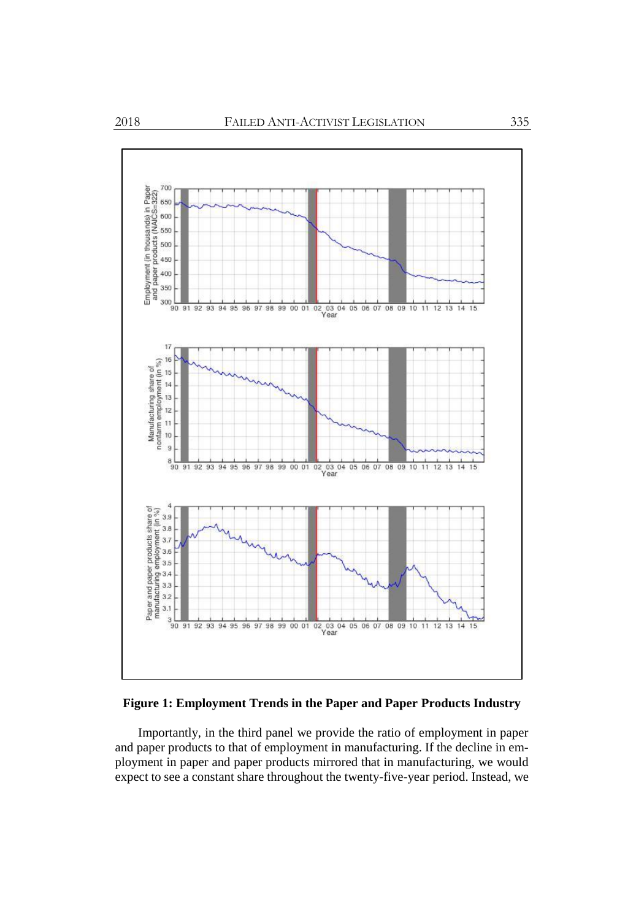

# **Figure 1: Employment Trends in the Paper and Paper Products Industry**

Importantly, in the third panel we provide the ratio of employment in paper and paper products to that of employment in manufacturing. If the decline in employment in paper and paper products mirrored that in manufacturing, we would expect to see a constant share throughout the twenty-five-year period. Instead, we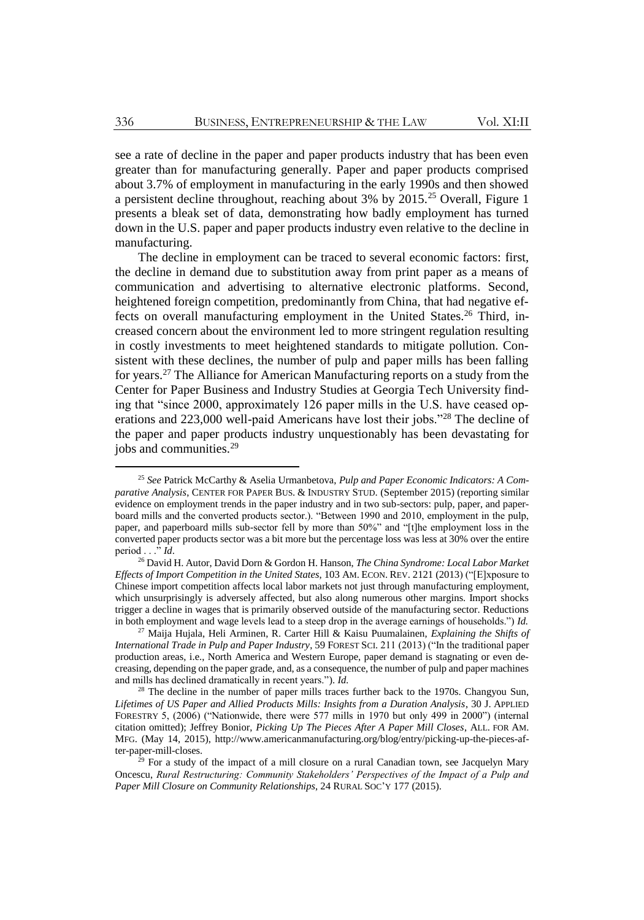see a rate of decline in the paper and paper products industry that has been even greater than for manufacturing generally. Paper and paper products comprised about 3.7% of employment in manufacturing in the early 1990s and then showed a persistent decline throughout, reaching about  $3\%$  by  $2015$ .<sup>25</sup> Overall, Figure 1 presents a bleak set of data, demonstrating how badly employment has turned down in the U.S. paper and paper products industry even relative to the decline in manufacturing.

The decline in employment can be traced to several economic factors: first, the decline in demand due to substitution away from print paper as a means of communication and advertising to alternative electronic platforms. Second, heightened foreign competition, predominantly from China, that had negative effects on overall manufacturing employment in the United States. <sup>26</sup> Third, increased concern about the environment led to more stringent regulation resulting in costly investments to meet heightened standards to mitigate pollution. Consistent with these declines, the number of pulp and paper mills has been falling for years.<sup>27</sup> The Alliance for American Manufacturing reports on a study from the Center for Paper Business and Industry Studies at Georgia Tech University finding that "since 2000, approximately 126 paper mills in the U.S. have ceased operations and 223,000 well-paid Americans have lost their jobs."<sup>28</sup> The decline of the paper and paper products industry unquestionably has been devastating for jobs and communities.<sup>29</sup>

<sup>25</sup> *See* Patrick McCarthy & Aselia Urmanbetova, *Pulp and Paper Economic Indicators: A Comparative Analysis*, CENTER FOR PAPER BUS. & INDUSTRY STUD. (September 2015) (reporting similar evidence on employment trends in the paper industry and in two sub-sectors: pulp, paper, and paperboard mills and the converted products sector.). "Between 1990 and 2010, employment in the pulp, paper, and paperboard mills sub-sector fell by more than 50%" and "[t]he employment loss in the converted paper products sector was a bit more but the percentage loss was less at 30% over the entire period  $\ldots$ <sup>5</sup>*id*.

<sup>26</sup> David H. Autor, David Dorn & Gordon H. Hanson, *The China Syndrome: Local Labor Market Effects of Import Competition in the United States*, 103 AM. ECON. REV. 2121 (2013) ("[E]xposure to Chinese import competition affects local labor markets not just through manufacturing employment, which unsurprisingly is adversely affected, but also along numerous other margins. Import shocks trigger a decline in wages that is primarily observed outside of the manufacturing sector. Reductions in both employment and wage levels lead to a steep drop in the average earnings of households.") *Id.*

<sup>27</sup> Maija Hujala, Heli Arminen, R. Carter Hill & Kaisu Puumalainen, *Explaining the Shifts of International Trade in Pulp and Paper Industry*, 59 FOREST SCI. 211 (2013) ("In the traditional paper production areas, i.e., North America and Western Europe, paper demand is stagnating or even decreasing, depending on the paper grade, and, as a consequence, the number of pulp and paper machines and mills has declined dramatically in recent years."). *Id.*

<sup>&</sup>lt;sup>28</sup> The decline in the number of paper mills traces further back to the 1970s. Changyou Sun, *Lifetimes of US Paper and Allied Products Mills: Insights from a Duration Analysis*, 30 J. APPLIED FORESTRY 5, (2006) ("Nationwide, there were 577 mills in 1970 but only 499 in 2000") (internal citation omitted); Jeffrey Bonior, *Picking Up The Pieces After A Paper Mill Closes*, ALL. FOR AM. MFG. (May 14, 2015), http://www.americanmanufacturing.org/blog/entry/picking-up-the-pieces-after-paper-mill-closes.

<sup>&</sup>lt;sup>9</sup> For a study of the impact of a mill closure on a rural Canadian town, see Jacquelyn Mary Oncescu, *Rural Restructuring: Community Stakeholders' Perspectives of the Impact of a Pulp and Paper Mill Closure on Community Relationships*, 24 RURAL SOC'Y 177 (2015).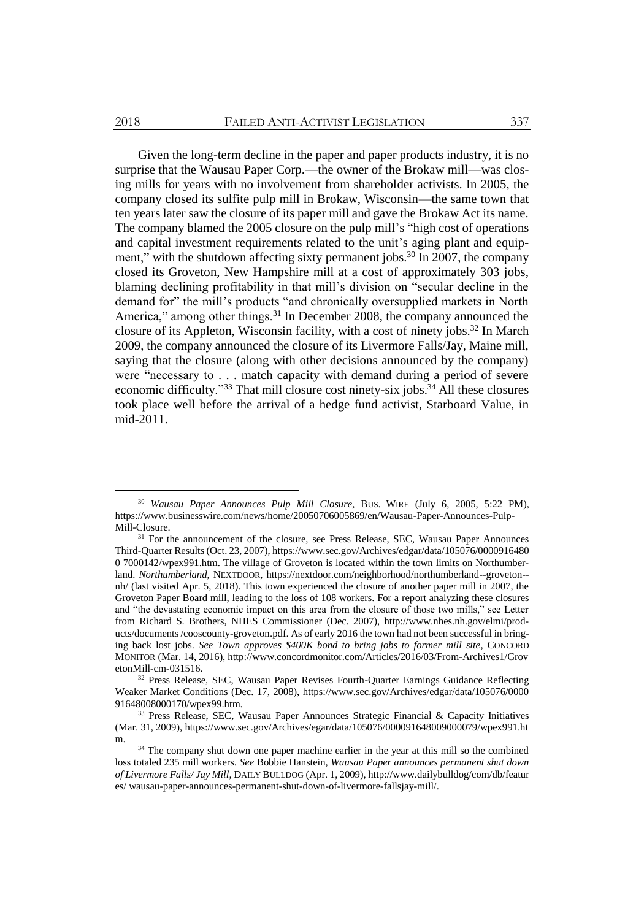Given the long-term decline in the paper and paper products industry, it is no surprise that the Wausau Paper Corp.—the owner of the Brokaw mill—was closing mills for years with no involvement from shareholder activists. In 2005, the company closed its sulfite pulp mill in Brokaw, Wisconsin—the same town that ten years later saw the closure of its paper mill and gave the Brokaw Act its name. The company blamed the 2005 closure on the pulp mill's "high cost of operations and capital investment requirements related to the unit's aging plant and equipment," with the shutdown affecting sixty permanent jobs.<sup>30</sup> In 2007, the company closed its Groveton, New Hampshire mill at a cost of approximately 303 jobs, blaming declining profitability in that mill's division on "secular decline in the demand for" the mill's products "and chronically oversupplied markets in North America," among other things.<sup>31</sup> In December 2008, the company announced the closure of its Appleton, Wisconsin facility, with a cost of ninety jobs.<sup>32</sup> In March 2009, the company announced the closure of its Livermore Falls/Jay, Maine mill, saying that the closure (along with other decisions announced by the company) were "necessary to . . . match capacity with demand during a period of severe economic difficulty."<sup>33</sup> That mill closure cost ninety-six jobs.<sup>34</sup> All these closures took place well before the arrival of a hedge fund activist, Starboard Value, in mid-2011.

<sup>30</sup> *Wausau Paper Announces Pulp Mill Closure*, BUS. WIRE (July 6, 2005, 5:22 PM), https://www.businesswire.com/news/home/20050706005869/en/Wausau-Paper-Announces-Pulp-Mill-Closure.

<sup>&</sup>lt;sup>31</sup> For the announcement of the closure, see Press Release, SEC, Wausau Paper Announces Third-Quarter Results (Oct. 23, 2007), https://www.sec.gov/Archives/edgar/data/105076/0000916480 0 7000142/wpex991.htm. The village of Groveton is located within the town limits on Northumberland. *Northumberland*, NEXTDOOR, https://nextdoor.com/neighborhood/northumberland--groveton- nh/ (last visited Apr. 5, 2018). This town experienced the closure of another paper mill in 2007, the Groveton Paper Board mill, leading to the loss of 108 workers. For a report analyzing these closures and "the devastating economic impact on this area from the closure of those two mills," see Letter from Richard S. Brothers, NHES Commissioner (Dec. 2007), http://www.nhes.nh.gov/elmi/products/documents /cooscounty-groveton.pdf. As of early 2016 the town had not been successful in bringing back lost jobs. *See Town approves \$400K bond to bring jobs to former mill site*, CONCORD MONITOR (Mar. 14, 2016), http://www.concordmonitor.com/Articles/2016/03/From-Archives1/Grov etonMill-cm-031516.

<sup>&</sup>lt;sup>32</sup> Press Release, SEC, Wausau Paper Revises Fourth-Quarter Earnings Guidance Reflecting Weaker Market Conditions (Dec. 17, 2008), https://www.sec.gov/Archives/edgar/data/105076/0000 91648008000170/wpex99.htm.

<sup>&</sup>lt;sup>33</sup> Press Release, SEC, Wausau Paper Announces Strategic Financial & Capacity Initiatives (Mar. 31, 2009), https://www.sec.gov/Archives/egar/data/105076/000091648009000079/wpex991.ht m.

<sup>&</sup>lt;sup>34</sup> The company shut down one paper machine earlier in the year at this mill so the combined loss totaled 235 mill workers. *See* Bobbie Hanstein, *Wausau Paper announces permanent shut down of Livermore Falls/ Jay Mill,* DAILY BULLDOG (Apr. 1, 2009), http://www.dailybulldog/com/db/featur es/ wausau-paper-announces-permanent-shut-down-of-livermore-fallsjay-mill/.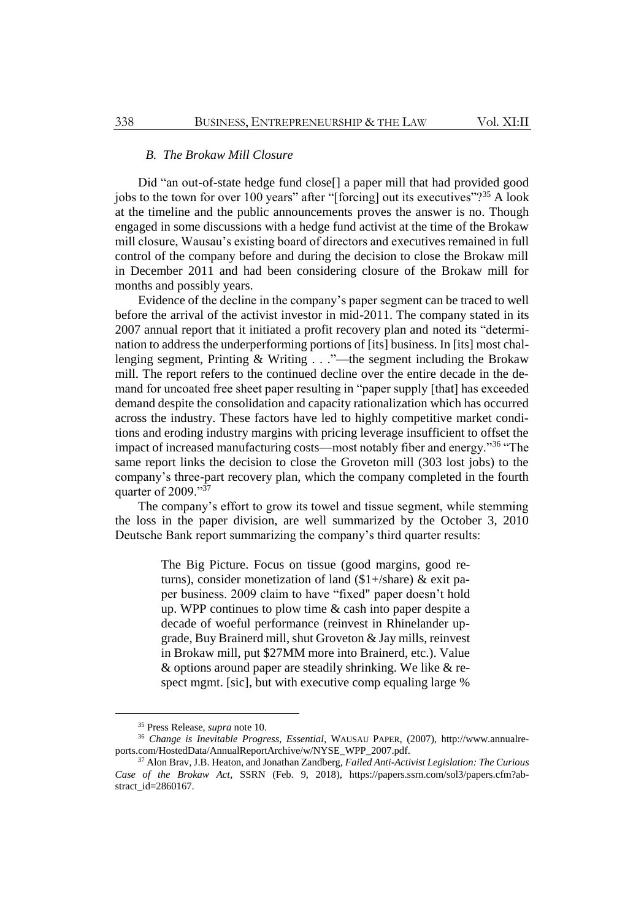## *B. The Brokaw Mill Closure*

Did "an out-of-state hedge fund close[] a paper mill that had provided good jobs to the town for over 100 years" after "[forcing] out its executives"?<sup>35</sup> A look at the timeline and the public announcements proves the answer is no. Though engaged in some discussions with a hedge fund activist at the time of the Brokaw mill closure, Wausau's existing board of directors and executives remained in full control of the company before and during the decision to close the Brokaw mill in December 2011 and had been considering closure of the Brokaw mill for months and possibly years.

Evidence of the decline in the company's paper segment can be traced to well before the arrival of the activist investor in mid-2011. The company stated in its 2007 annual report that it initiated a profit recovery plan and noted its "determination to address the underperforming portions of [its] business. In [its] most challenging segment, Printing & Writing . . ."—the segment including the Brokaw mill. The report refers to the continued decline over the entire decade in the demand for uncoated free sheet paper resulting in "paper supply [that] has exceeded demand despite the consolidation and capacity rationalization which has occurred across the industry. These factors have led to highly competitive market conditions and eroding industry margins with pricing leverage insufficient to offset the impact of increased manufacturing costs—most notably fiber and energy."<sup>36</sup> "The same report links the decision to close the Groveton mill (303 lost jobs) to the company's three-part recovery plan, which the company completed in the fourth quarter of 2009."37

The company's effort to grow its towel and tissue segment, while stemming the loss in the paper division, are well summarized by the October 3, 2010 Deutsche Bank report summarizing the company's third quarter results:

> The Big Picture. Focus on tissue (good margins, good returns), consider monetization of land (\$1+/share) & exit paper business. 2009 claim to have "fixed" paper doesn't hold up. WPP continues to plow time & cash into paper despite a decade of woeful performance (reinvest in Rhinelander upgrade, Buy Brainerd mill, shut Groveton & Jay mills, reinvest in Brokaw mill, put \$27MM more into Brainerd, etc.). Value & options around paper are steadily shrinking. We like & respect mgmt. [sic], but with executive comp equaling large %

<sup>35</sup> Press Release, *supra* note [10.](#page-4-0)

<sup>36</sup> *Change is Inevitable Progress, Essential,* WAUSAU PAPER, (2007), http://www.annualreports.com/HostedData/AnnualReportArchive/w/NYSE\_WPP\_2007.pdf.

<sup>37</sup> Alon Brav, J.B. Heaton, and Jonathan Zandberg, *Failed Anti-Activist Legislation: The Curious Case of the Brokaw Act*, SSRN (Feb. 9, 2018), https://papers.ssrn.com/sol3/papers.cfm?abstract\_id=2860167.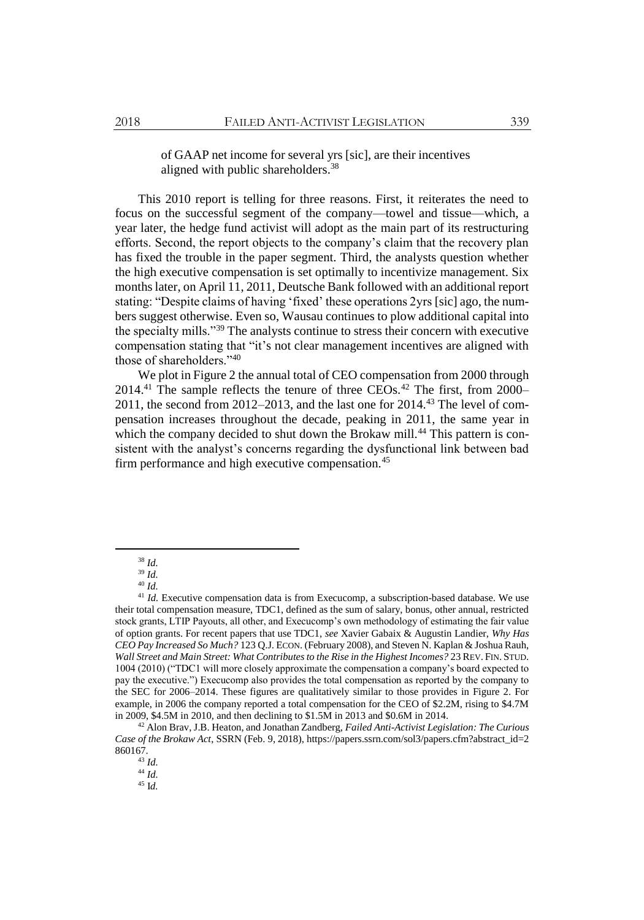of GAAP net income for several yrs [sic], are their incentives aligned with public shareholders.<sup>38</sup>

This 2010 report is telling for three reasons. First, it reiterates the need to focus on the successful segment of the company—towel and tissue—which, a year later, the hedge fund activist will adopt as the main part of its restructuring efforts. Second, the report objects to the company's claim that the recovery plan has fixed the trouble in the paper segment. Third, the analysts question whether the high executive compensation is set optimally to incentivize management. Six months later, on April 11, 2011, Deutsche Bank followed with an additional report stating: "Despite claims of having 'fixed' these operations 2yrs [sic] ago, the numbers suggest otherwise. Even so, Wausau continues to plow additional capital into the specialty mills."<sup>39</sup> The analysts continue to stress their concern with executive compensation stating that "it's not clear management incentives are aligned with those of shareholders."<sup>40</sup>

We plot in Figure 2 the annual total of CEO compensation from 2000 through 2014.<sup>41</sup> The sample reflects the tenure of three CEOs.<sup>42</sup> The first, from 2000– 2011, the second from 2012–2013, and the last one for 2014.<sup>43</sup> The level of compensation increases throughout the decade, peaking in 2011, the same year in which the company decided to shut down the Brokaw mill.<sup>44</sup> This pattern is consistent with the analyst's concerns regarding the dysfunctional link between bad firm performance and high executive compensation.<sup>45</sup>

<sup>38</sup> *Id.*

<sup>39</sup> *Id.* <sup>40</sup> *Id.*

<sup>&</sup>lt;sup>41</sup> *Id.* Executive compensation data is from Execucomp, a subscription-based database. We use their total compensation measure, TDC1, defined as the sum of salary, bonus, other annual, restricted stock grants, LTIP Payouts, all other, and Execucomp's own methodology of estimating the fair value of option grants. For recent papers that use TDC1, *see* Xavier Gabaix & Augustin Landier, *Why Has CEO Pay Increased So Much?* 123 Q.J. ECON. (February 2008), and Steven N. Kaplan & Joshua Rauh, *Wall Street and Main Street: What Contributes to the Rise in the Highest Incomes?* 23 REV. FIN. STUD. 1004 (2010) ("TDC1 will more closely approximate the compensation a company's board expected to pay the executive.") Execucomp also provides the total compensation as reported by the company to the SEC for 2006–2014. These figures are qualitatively similar to those provides in Figure 2. For example, in 2006 the company reported a total compensation for the CEO of \$2.2M, rising to \$4.7M in 2009, \$4.5M in 2010, and then declining to \$1.5M in 2013 and \$0.6M in 2014.

<sup>42</sup> Alon Brav, J.B. Heaton, and Jonathan Zandberg, *Failed Anti-Activist Legislation: The Curious Case of the Brokaw Act*, SSRN (Feb. 9, 2018), https://papers.ssrn.com/sol3/papers.cfm?abstract\_id=2 860167.

<sup>43</sup> *Id.*

<sup>44</sup> *Id.*

<sup>45</sup> I*d.*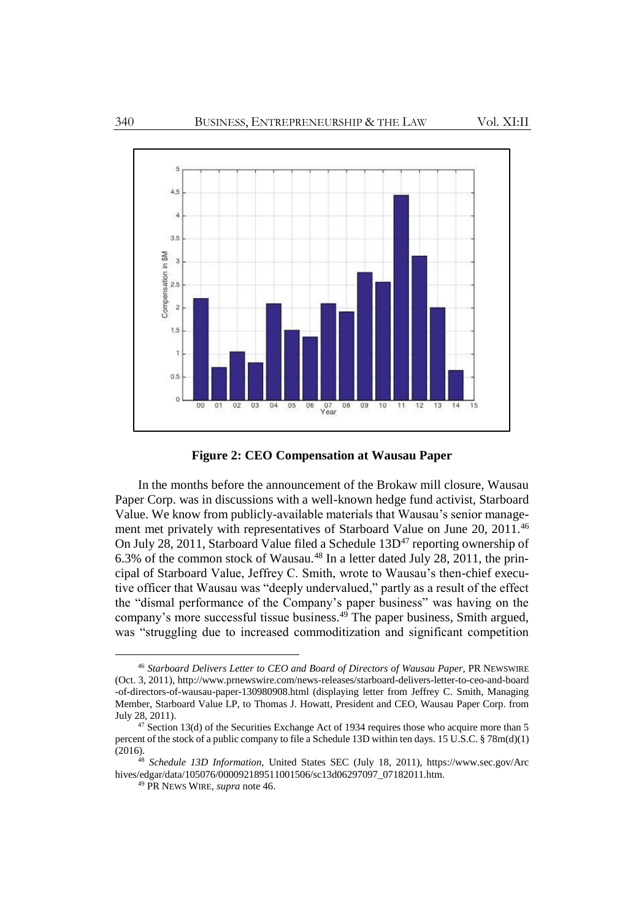

<span id="page-12-0"></span>**Figure 2: CEO Compensation at Wausau Paper**

In the months before the announcement of the Brokaw mill closure, Wausau Paper Corp. was in discussions with a well-known hedge fund activist, Starboard Value. We know from publicly-available materials that Wausau's senior management met privately with representatives of Starboard Value on June 20, 2011.<sup>46</sup> On July 28, 2011, Starboard Value filed a Schedule  $13D<sup>47</sup>$  reporting ownership of 6.3% of the common stock of Wausau.<sup>48</sup> In a letter dated July 28, 2011, the principal of Starboard Value, Jeffrey C. Smith, wrote to Wausau's then-chief executive officer that Wausau was "deeply undervalued," partly as a result of the effect the "dismal performance of the Company's paper business" was having on the company's more successful tissue business.<sup>49</sup> The paper business, Smith argued, was "struggling due to increased commoditization and significant competition

<sup>46</sup> *Starboard Delivers Letter to CEO and Board of Directors of Wausau Paper*, PR NEWSWIRE (Oct. 3, 2011), http://www.prnewswire.com/news-releases/starboard-delivers-letter-to-ceo-and-board -of-directors-of-wausau-paper-130980908.html (displaying letter from Jeffrey C. Smith, Managing Member, Starboard Value LP, to Thomas J. Howatt, President and CEO, Wausau Paper Corp. from July 28, 2011).

 $47$  Section 13(d) of the Securities Exchange Act of 1934 requires those who acquire more than 5 percent of the stock of a public company to file a Schedule 13D within ten days. 15 U.S.C. § 78m(d)(1)  $(2016).$ 

<sup>48</sup> *Schedule 13D Information,* United States SEC (July 18, 2011), https://www.sec.gov/Arc hives/edgar/data/105076/000092189511001506/sc13d06297097\_07182011.htm.

<sup>49</sup> PR NEWS WIRE, *supra* not[e 46.](#page-12-0)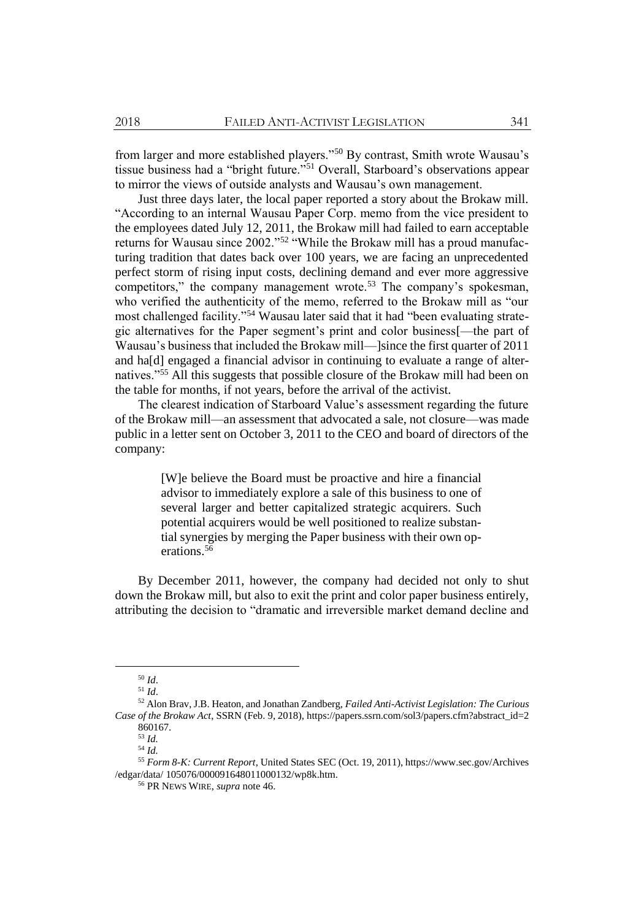from larger and more established players."<sup>50</sup> By contrast, Smith wrote Wausau's tissue business had a "bright future."<sup>51</sup> Overall, Starboard's observations appear to mirror the views of outside analysts and Wausau's own management.

Just three days later, the local paper reported a story about the Brokaw mill. "According to an internal Wausau Paper Corp. memo from the vice president to the employees dated July 12, 2011, the Brokaw mill had failed to earn acceptable returns for Wausau since 2002."<sup>52</sup> "While the Brokaw mill has a proud manufacturing tradition that dates back over 100 years, we are facing an unprecedented perfect storm of rising input costs, declining demand and ever more aggressive competitors," the company management wrote.<sup>53</sup> The company's spokesman, who verified the authenticity of the memo, referred to the Brokaw mill as "our most challenged facility."<sup>54</sup> Wausau later said that it had "been evaluating strategic alternatives for the Paper segment's print and color business[—the part of Wausau's business that included the Brokaw mill—]since the first quarter of 2011 and ha[d] engaged a financial advisor in continuing to evaluate a range of alternatives."<sup>55</sup> All this suggests that possible closure of the Brokaw mill had been on the table for months, if not years, before the arrival of the activist.

The clearest indication of Starboard Value's assessment regarding the future of the Brokaw mill—an assessment that advocated a sale, not closure—was made public in a letter sent on October 3, 2011 to the CEO and board of directors of the company:

> [W]e believe the Board must be proactive and hire a financial advisor to immediately explore a sale of this business to one of several larger and better capitalized strategic acquirers. Such potential acquirers would be well positioned to realize substantial synergies by merging the Paper business with their own operations.<sup>56</sup>

By December 2011, however, the company had decided not only to shut down the Brokaw mill, but also to exit the print and color paper business entirely, attributing the decision to "dramatic and irreversible market demand decline and

 $\overline{a}$ 

<sup>54</sup> *Id.*

<sup>50</sup> *Id*.

<sup>51</sup> *Id*.

<sup>52</sup> Alon Brav, J.B. Heaton, and Jonathan Zandberg, *Failed Anti-Activist Legislation: The Curious Case of the Brokaw Act*, SSRN (Feb. 9, 2018), https://papers.ssrn.com/sol3/papers.cfm?abstract\_id=2 860167.

<sup>53</sup> *Id.*

<sup>55</sup> *Form 8-K: Current Report*, United States SEC (Oct. 19, 2011), https://www.sec.gov/Archives /edgar/data/ 105076/000091648011000132/wp8k.htm.

<sup>56</sup> PR NEWS WIRE, *supra* not[e 46.](#page-12-0)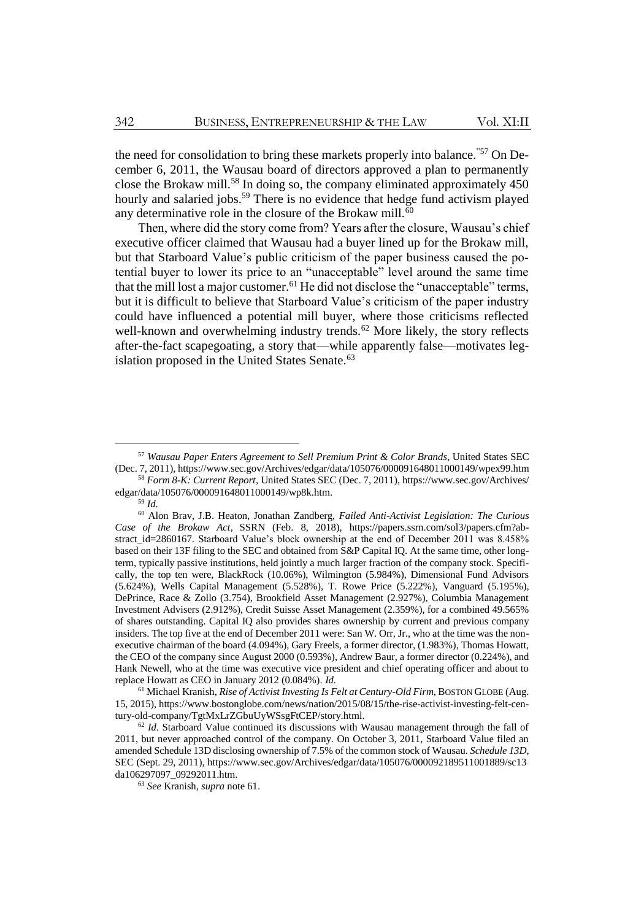the need for consolidation to bring these markets properly into balance."57 On December 6, 2011, the Wausau board of directors approved a plan to permanently close the Brokaw mill.<sup>58</sup> In doing so, the company eliminated approximately 450 hourly and salaried jobs.<sup>59</sup> There is no evidence that hedge fund activism played any determinative role in the closure of the Brokaw mill.<sup>60</sup>

<span id="page-14-0"></span>Then, where did the story come from? Years after the closure, Wausau's chief executive officer claimed that Wausau had a buyer lined up for the Brokaw mill, but that Starboard Value's public criticism of the paper business caused the potential buyer to lower its price to an "unacceptable" level around the same time that the mill lost a major customer.<sup>61</sup> He did not disclose the "unacceptable" terms, but it is difficult to believe that Starboard Value's criticism of the paper industry could have influenced a potential mill buyer, where those criticisms reflected well-known and overwhelming industry trends.<sup>62</sup> More likely, the story reflects after-the-fact scapegoating, a story that—while apparently false—motivates legislation proposed in the United States Senate.<sup>63</sup>

 $\overline{a}$ 

<sup>61</sup> Michael Kranish, *Rise of Activist Investing Is Felt at Century-Old Firm*, BOSTON GLOBE (Aug. 15, 2015), https://www.bostonglobe.com/news/nation/2015/08/15/the-rise-activist-investing-felt-century-old-company/TgtMxLrZGbuUyWSsgFtCEP/story.html.

<sup>57</sup> *Wausau Paper Enters Agreement to Sell Premium Print & Color Brands*, United States SEC (Dec. 7, 2011), https://www.sec.gov/Archives/edgar/data/105076/000091648011000149/wpex99.htm <sup>58</sup> *Form 8-K: Current Report*, United States SEC (Dec. 7, 2011), https://www.sec.gov/Archives/

edgar/data/105076/000091648011000149/wp8k.htm.

<sup>59</sup> *Id.*

<sup>60</sup> Alon Brav, J.B. Heaton, Jonathan Zandberg, *Failed Anti-Activist Legislation: The Curious Case of the Brokaw Act*, SSRN (Feb. 8, 2018), https://papers.ssrn.com/sol3/papers.cfm?abstract\_id=2860167. Starboard Value's block ownership at the end of December 2011 was 8.458% based on their 13F filing to the SEC and obtained from S&P Capital IQ. At the same time, other longterm, typically passive institutions, held jointly a much larger fraction of the company stock. Specifically, the top ten were, BlackRock (10.06%), Wilmington (5.984%), Dimensional Fund Advisors (5.624%), Wells Capital Management (5.528%), T. Rowe Price (5.222%), Vanguard (5.195%), DePrince, Race & Zollo (3.754), Brookfield Asset Management (2.927%), Columbia Management Investment Advisers (2.912%), Credit Suisse Asset Management (2.359%), for a combined 49.565% of shares outstanding. Capital IQ also provides shares ownership by current and previous company insiders. The top five at the end of December 2011 were: San W. Orr, Jr., who at the time was the nonexecutive chairman of the board (4.094%), Gary Freels, a former director, (1.983%), Thomas Howatt, the CEO of the company since August 2000 (0.593%), Andrew Baur, a former director (0.224%), and Hank Newell, who at the time was executive vice president and chief operating officer and about to replace Howatt as CEO in January 2012 (0.084%). *Id.*

 $62$  *Id.* Starboard Value continued its discussions with Wausau management through the fall of 2011, but never approached control of the company. On October 3, 2011, Starboard Value filed an amended Schedule 13D disclosing ownership of 7.5% of the common stock of Wausau. *Schedule 13D*, SEC (Sept. 29, 2011), https://www.sec.gov/Archives/edgar/data/105076/000092189511001889/sc13 da106297097\_09292011.htm.

<sup>63</sup> *See* Kranish, *supra* not[e 61.](#page-14-0)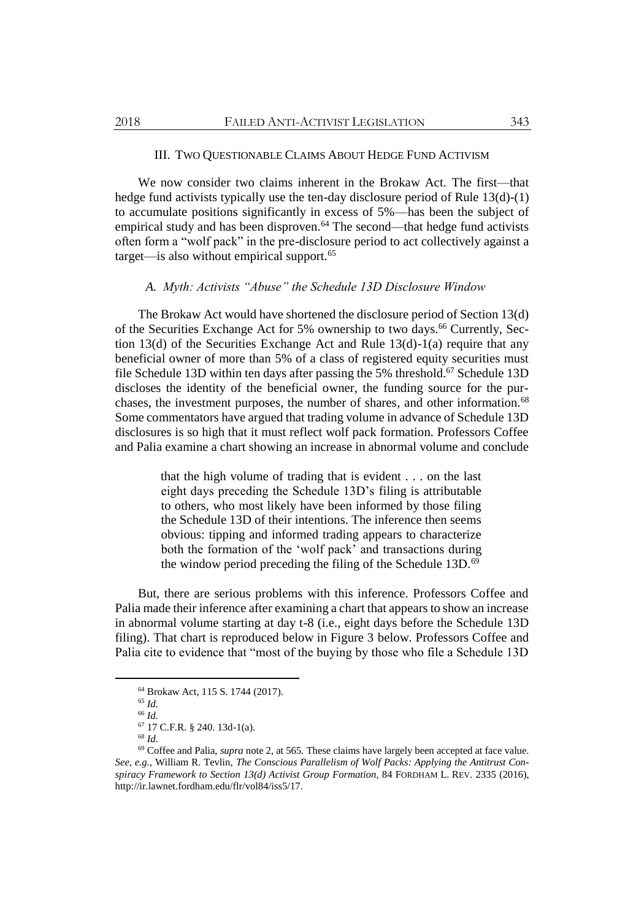### III. TWO QUESTIONABLE CLAIMS ABOUT HEDGE FUND ACTIVISM

We now consider two claims inherent in the Brokaw Act. The first—that hedge fund activists typically use the ten-day disclosure period of Rule 13(d)-(1) to accumulate positions significantly in excess of 5%—has been the subject of empirical study and has been disproven.<sup>64</sup> The second—that hedge fund activists often form a "wolf pack" in the pre-disclosure period to act collectively against a target—is also without empirical support. $65$ 

## *A. Myth: Activists "Abuse" the Schedule 13D Disclosure Window*

The Brokaw Act would have shortened the disclosure period of Section 13(d) of the Securities Exchange Act for 5% ownership to two days.<sup>66</sup> Currently, Section 13(d) of the Securities Exchange Act and Rule  $13(d)-1(a)$  require that any beneficial owner of more than 5% of a class of registered equity securities must file Schedule 13D within ten days after passing the 5% threshold.<sup>67</sup> Schedule 13D discloses the identity of the beneficial owner, the funding source for the purchases, the investment purposes, the number of shares, and other information.<sup>68</sup> Some commentators have argued that trading volume in advance of Schedule 13D disclosures is so high that it must reflect wolf pack formation. Professors Coffee and Palia examine a chart showing an increase in abnormal volume and conclude

> that the high volume of trading that is evident . . . on the last eight days preceding the Schedule 13D's filing is attributable to others, who most likely have been informed by those filing the Schedule 13D of their intentions. The inference then seems obvious: tipping and informed trading appears to characterize both the formation of the 'wolf pack' and transactions during the window period preceding the filing of the Schedule 13D.<sup>69</sup>

But, there are serious problems with this inference. Professors Coffee and Palia made their inference after examining a chart that appears to show an increase in abnormal volume starting at day t-8 (i.e., eight days before the Schedule 13D filing). That chart is reproduced below in Figure 3 below. Professors Coffee and Palia cite to evidence that "most of the buying by those who file a Schedule 13D

<sup>64</sup> Brokaw Act, 115 S. 1744 (2017).

<sup>65</sup> *Id.* <sup>66</sup> *Id.*

<sup>67</sup> 17 C.F.R. § 240. 13d-1(a).

<sup>68</sup> *Id.*

<sup>69</sup> Coffee and Palia, *supra* not[e 2,](#page-2-1) at 565. These claims have largely been accepted at face value. *See, e.g.*, William R. Tevlin, *The Conscious Parallelism of Wolf Packs: Applying the Antitrust Conspiracy Framework to Section 13(d) Activist Group Formation*, 84 FORDHAM L. REV. 2335 (2016), http://ir.lawnet.fordham.edu/flr/vol84/iss5/17.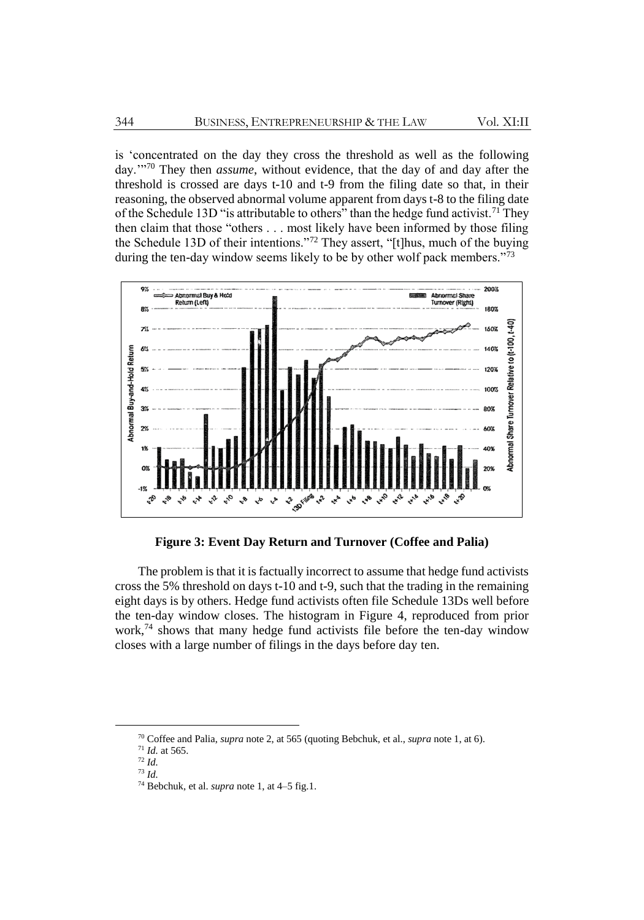is 'concentrated on the day they cross the threshold as well as the following day.'"<sup>70</sup> They then *assume*, without evidence, that the day of and day after the threshold is crossed are days t-10 and t-9 from the filing date so that, in their reasoning, the observed abnormal volume apparent from days t-8 to the filing date of the Schedule 13D "is attributable to others" than the hedge fund activist.<sup>71</sup> They then claim that those "others . . . most likely have been informed by those filing the Schedule 13D of their intentions."<sup>72</sup> They assert, "[t]hus, much of the buying during the ten-day window seems likely to be by other wolf pack members."<sup>73</sup>



**Figure 3: Event Day Return and Turnover (Coffee and Palia)**

The problem is that it is factually incorrect to assume that hedge fund activists cross the 5% threshold on days t-10 and t-9, such that the trading in the remaining eight days is by others. Hedge fund activists often file Schedule 13Ds well before the ten-day window closes. The histogram in Figure 4, reproduced from prior work,<sup>74</sup> shows that many hedge fund activists file before the ten-day window closes with a large number of filings in the days before day ten.

<sup>70</sup> Coffee and Palia, *supra* not[e 2,](#page-2-1) at 565 (quoting Bebchuk, et al., *supra* not[e 1,](#page-2-0) at 6).

<sup>71</sup> *Id.* at 565.

<sup>72</sup> *Id.*

<sup>73</sup> *Id.*

<sup>74</sup> Bebchuk, et al. *supra* not[e 1,](#page-2-0) at 4–5 fig.1.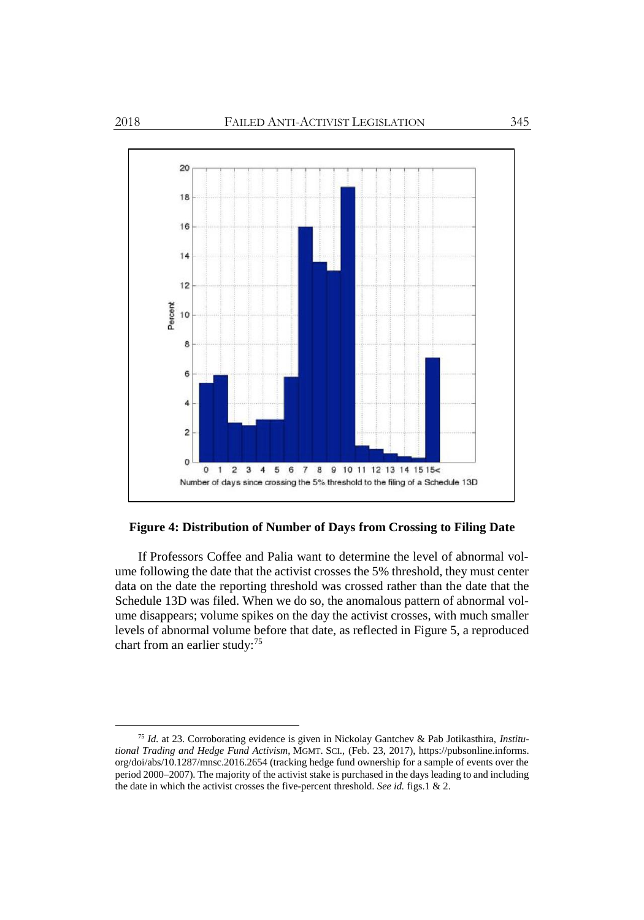

**Figure 4: Distribution of Number of Days from Crossing to Filing Date**

If Professors Coffee and Palia want to determine the level of abnormal volume following the date that the activist crosses the 5% threshold, they must center data on the date the reporting threshold was crossed rather than the date that the Schedule 13D was filed. When we do so, the anomalous pattern of abnormal volume disappears; volume spikes on the day the activist crosses, with much smaller levels of abnormal volume before that date, as reflected in Figure 5, a reproduced chart from an earlier study:<sup>75</sup>

<sup>75</sup> *Id.* at 23. Corroborating evidence is given in Nickolay Gantchev & Pab Jotikasthira, *Institutional Trading and Hedge Fund Activism*, MGMT. SCI., (Feb. 23, 2017), https://pubsonline.informs. org/doi/abs/10.1287/mnsc.2016.2654 (tracking hedge fund ownership for a sample of events over the period 2000–2007). The majority of the activist stake is purchased in the days leading to and including the date in which the activist crosses the five-percent threshold. *See id.* figs.1 & 2.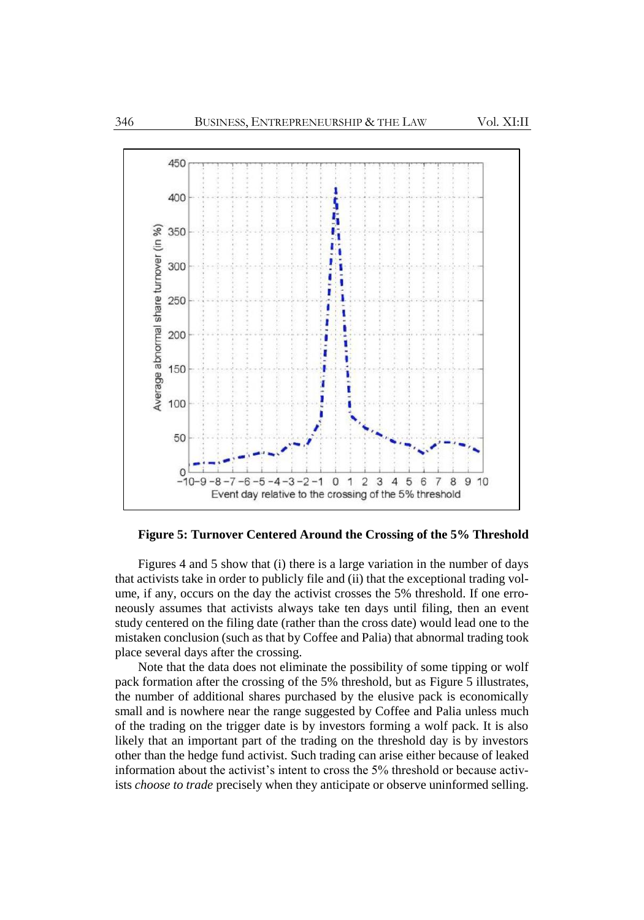

**Figure 5: Turnover Centered Around the Crossing of the 5% Threshold**

Figures 4 and 5 show that (i) there is a large variation in the number of days that activists take in order to publicly file and (ii) that the exceptional trading volume, if any, occurs on the day the activist crosses the 5% threshold. If one erroneously assumes that activists always take ten days until filing, then an event study centered on the filing date (rather than the cross date) would lead one to the mistaken conclusion (such as that by Coffee and Palia) that abnormal trading took place several days after the crossing.

Note that the data does not eliminate the possibility of some tipping or wolf pack formation after the crossing of the 5% threshold, but as Figure 5 illustrates, the number of additional shares purchased by the elusive pack is economically small and is nowhere near the range suggested by Coffee and Palia unless much of the trading on the trigger date is by investors forming a wolf pack. It is also likely that an important part of the trading on the threshold day is by investors other than the hedge fund activist. Such trading can arise either because of leaked information about the activist's intent to cross the 5% threshold or because activists *choose to trade* precisely when they anticipate or observe uninformed selling.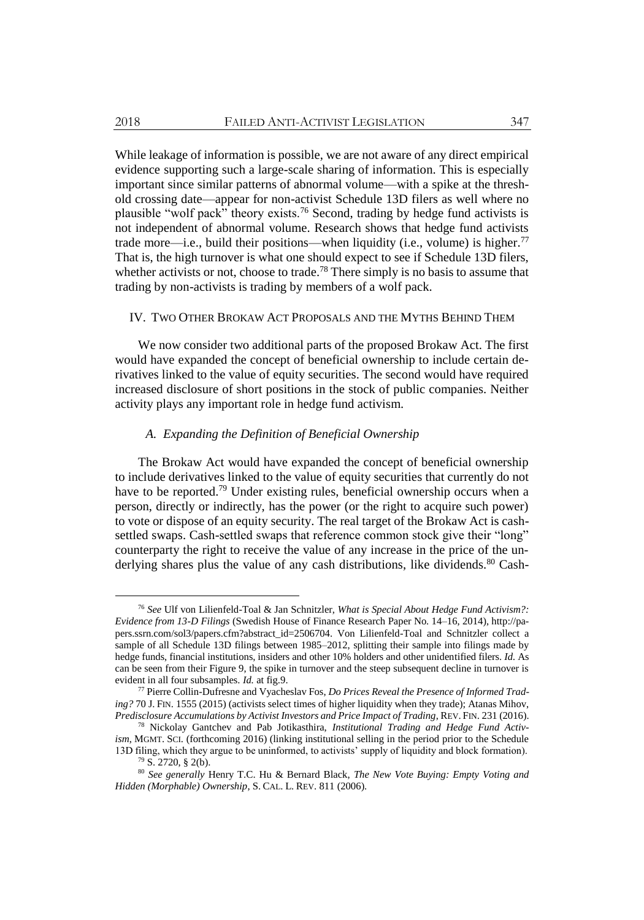While leakage of information is possible, we are not aware of any direct empirical evidence supporting such a large-scale sharing of information. This is especially important since similar patterns of abnormal volume—with a spike at the threshold crossing date—appear for non-activist Schedule 13D filers as well where no plausible "wolf pack" theory exists.<sup>76</sup> Second, trading by hedge fund activists is not independent of abnormal volume. Research shows that hedge fund activists trade more—i.e., build their positions—when liquidity (i.e., volume) is higher.<sup>77</sup> That is, the high turnover is what one should expect to see if Schedule 13D filers, whether activists or not, choose to trade.<sup>78</sup> There simply is no basis to assume that trading by non-activists is trading by members of a wolf pack.

### IV. TWO OTHER BROKAW ACT PROPOSALS AND THE MYTHS BEHIND THEM

We now consider two additional parts of the proposed Brokaw Act. The first would have expanded the concept of beneficial ownership to include certain derivatives linked to the value of equity securities. The second would have required increased disclosure of short positions in the stock of public companies. Neither activity plays any important role in hedge fund activism.

# *A. Expanding the Definition of Beneficial Ownership*

The Brokaw Act would have expanded the concept of beneficial ownership to include derivatives linked to the value of equity securities that currently do not have to be reported.<sup>79</sup> Under existing rules, beneficial ownership occurs when a person, directly or indirectly, has the power (or the right to acquire such power) to vote or dispose of an equity security. The real target of the Brokaw Act is cashsettled swaps. Cash-settled swaps that reference common stock give their "long" counterparty the right to receive the value of any increase in the price of the underlying shares plus the value of any cash distributions, like dividends.<sup>80</sup> Cash-

<sup>76</sup> *See* Ulf von Lilienfeld-Toal & Jan Schnitzler, *What is Special About Hedge Fund Activism?: Evidence from 13-D Filings* (Swedish House of Finance Research Paper No. 14–16, 2014), http://papers.ssrn.com/sol3/papers.cfm?abstract\_id=2506704. Von Lilienfeld-Toal and Schnitzler collect a sample of all Schedule 13D filings between 1985–2012, splitting their sample into filings made by hedge funds, financial institutions, insiders and other 10% holders and other unidentified filers. *Id.* As can be seen from their Figure 9, the spike in turnover and the steep subsequent decline in turnover is evident in all four subsamples. *Id.* at fig.9.

<sup>77</sup> Pierre Collin-Dufresne and Vyacheslav Fos, *Do Prices Reveal the Presence of Informed Trading?* 70 J. FIN. 1555 (2015) (activists select times of higher liquidity when they trade); Atanas Mihov, *Predisclosure Accumulations by Activist Investors and Price Impact of Trading*, REV. FIN. 231 (2016).

<sup>78</sup> Nickolay Gantchev and Pab Jotikasthira, *Institutional Trading and Hedge Fund Activism*, MGMT. SCI. (forthcoming 2016) (linking institutional selling in the period prior to the Schedule 13D filing, which they argue to be uninformed, to activists' supply of liquidity and block formation).

 $79$  S. 2720, § 2(b).

<sup>80</sup> *See generally* Henry T.C. Hu & Bernard Black, *The New Vote Buying: Empty Voting and Hidden (Morphable) Ownership*, S. CAL. L. REV. 811 (2006).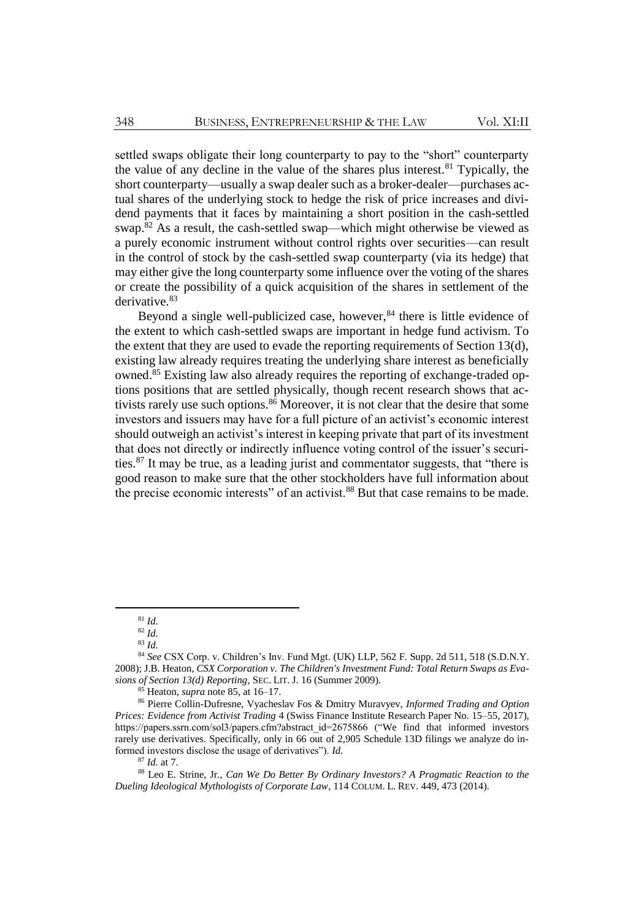settled swaps obligate their long counterparty to pay to the "short" counterparty the value of any decline in the value of the shares plus interest.<sup>81</sup> Typically, the short counterparty—usually a swap dealer such as a broker-dealer—purchases actual shares of the underlying stock to hedge the risk of price increases and dividend payments that it faces by maintaining a short position in the cash-settled swap.<sup>82</sup> As a result, the cash-settled swap—which might otherwise be viewed as a purely economic instrument without control rights over securities—can result in the control of stock by the cash-settled swap counterparty (via its hedge) that may either give the long counterparty some influence over the voting of the shares or create the possibility of a quick acquisition of the shares in settlement of the derivative.<sup>83</sup>

<span id="page-20-0"></span>Beyond a single well-publicized case, however, $84$  there is little evidence of the extent to which cash-settled swaps are important in hedge fund activism. To the extent that they are used to evade the reporting requirements of Section 13(d), existing law already requires treating the underlying share interest as beneficially owned.<sup>85</sup> Existing law also already requires the reporting of exchange-traded options positions that are settled physically, though recent research shows that activists rarely use such options.<sup>86</sup> Moreover, it is not clear that the desire that some investors and issuers may have for a full picture of an activist's economic interest should outweigh an activist's interest in keeping private that part of its investment that does not directly or indirectly influence voting control of the issuer's securities.<sup>87</sup> It may be true, as a leading jurist and commentator suggests, that "there is good reason to make sure that the other stockholders have full information about the precise economic interests" of an activist.<sup>88</sup> But that case remains to be made.

<sup>81</sup> *Id.*

<sup>82</sup> *Id.*

<sup>83</sup> *Id.*

<sup>84</sup> *See* CSX Corp. v. Children's Inv. Fund Mgt. (UK) LLP, 562 F. Supp. 2d 511, 518 (S.D.N.Y. 2008); J.B. Heaton, *CSX Corporation v. The Children's Investment Fund: Total Return Swaps as Evasions of Section 13(d) Reporting*, SEC. LIT. J. 16 (Summer 2009).

<sup>85</sup> Heaton, *supra* not[e 85,](#page-20-0) at 16–17.

<sup>86</sup> Pierre Collin-Dufresne, Vyacheslav Fos & Dmitry Muravyev, *Informed Trading and Option Prices: Evidence from Activist Trading* 4 (Swiss Finance Institute Research Paper No. 15–55, 2017), https://papers.ssrn.com/sol3/papers.cfm?abstract\_id=2675866 ("We find that informed investors rarely use derivatives. Specifically, only in 66 out of 2,905 Schedule 13D filings we analyze do informed investors disclose the usage of derivatives"). *Id.*

<sup>87</sup> *Id.* at 7.

<sup>88</sup> Leo E. Strine, Jr., *Can We Do Better By Ordinary Investors? A Pragmatic Reaction to the Dueling Ideological Mythologists of Corporate Law*, 114 COLUM. L. REV. 449, 473 (2014).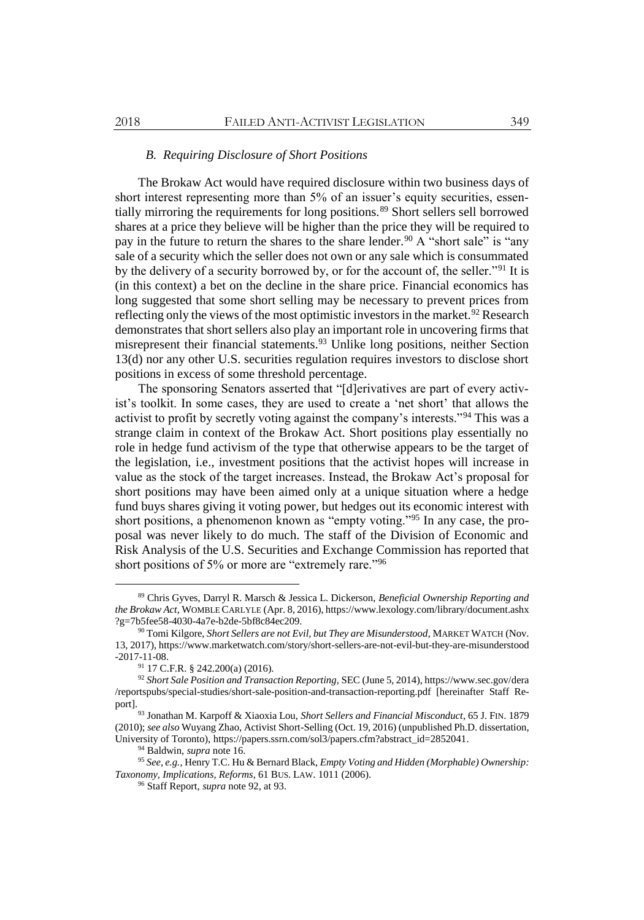## <span id="page-21-0"></span>*B. Requiring Disclosure of Short Positions*

The Brokaw Act would have required disclosure within two business days of short interest representing more than 5% of an issuer's equity securities, essentially mirroring the requirements for long positions.<sup>89</sup> Short sellers sell borrowed shares at a price they believe will be higher than the price they will be required to pay in the future to return the shares to the share lender.<sup>90</sup> A "short sale" is "any sale of a security which the seller does not own or any sale which is consummated by the delivery of a security borrowed by, or for the account of, the seller."<sup>91</sup> It is (in this context) a bet on the decline in the share price. Financial economics has long suggested that some short selling may be necessary to prevent prices from reflecting only the views of the most optimistic investors in the market.<sup>92</sup> Research demonstrates that short sellers also play an important role in uncovering firms that misrepresent their financial statements.<sup>93</sup> Unlike long positions, neither Section 13(d) nor any other U.S. securities regulation requires investors to disclose short positions in excess of some threshold percentage.

The sponsoring Senators asserted that "[d]erivatives are part of every activist's toolkit. In some cases, they are used to create a 'net short' that allows the activist to profit by secretly voting against the company's interests."<sup>94</sup> This was a strange claim in context of the Brokaw Act. Short positions play essentially no role in hedge fund activism of the type that otherwise appears to be the target of the legislation, i.e., investment positions that the activist hopes will increase in value as the stock of the target increases. Instead, the Brokaw Act's proposal for short positions may have been aimed only at a unique situation where a hedge fund buys shares giving it voting power, but hedges out its economic interest with short positions, a phenomenon known as "empty voting."<sup>95</sup> In any case, the proposal was never likely to do much. The staff of the Division of Economic and Risk Analysis of the U.S. Securities and Exchange Commission has reported that short positions of 5% or more are "extremely rare."<sup>96</sup>

<sup>89</sup> Chris Gyves, Darryl R. Marsch & Jessica L. Dickerson, *Beneficial Ownership Reporting and the Brokaw Act*, WOMBLE CARLYLE (Apr. 8, 2016), https://www.lexology.com/library/document.ashx ?g=7b5fee58-4030-4a7e-b2de-5bf8c84ec209.

<sup>90</sup> Tomi Kilgore, *Short Sellers are not Evil, but They are Misunderstood*, MARKET WATCH (Nov. 13, 2017), https://www.marketwatch.com/story/short-sellers-are-not-evil-but-they-are-misunderstood -2017-11-08.

 $91$  17 C.F.R. § 242.200(a) (2016).

<sup>92</sup> *Short Sale Position and Transaction Reporting*, SEC (June 5, 2014), https://www.sec.gov/dera /reportspubs/special-studies/short-sale-position-and-transaction-reporting.pdf [hereinafter Staff Report].

<sup>93</sup> Jonathan M. Karpoff & Xiaoxia Lou, *Short Sellers and Financial Misconduct*, 65 J. FIN. 1879 (2010); *see also* Wuyang Zhao, Activist Short-Selling (Oct. 19, 2016) (unpublished Ph.D. dissertation, University of Toronto), https://papers.ssrn.com/sol3/papers.cfm?abstract\_id=2852041.

<sup>94</sup> Baldwin, *supra* not[e 16.](#page-4-1)

<sup>95</sup> *See, e.g.*, Henry T.C. Hu & Bernard Black, *Empty Voting and Hidden (Morphable) Ownership: Taxonomy, Implications, Reforms*, 61 BUS. LAW. 1011 (2006).

<sup>96</sup> Staff Report, *supra* not[e 92,](#page-21-0) at 93.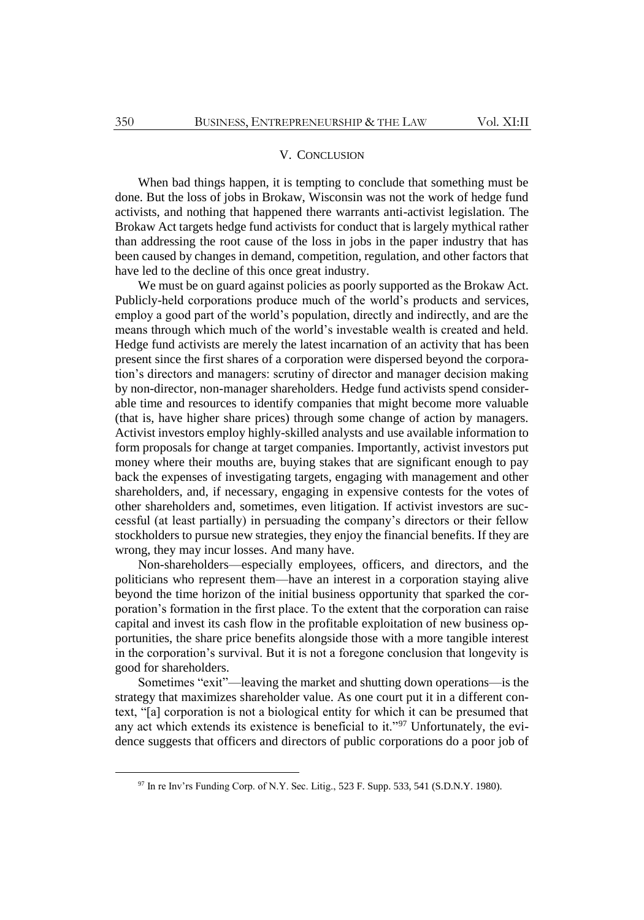## V. CONCLUSION

When bad things happen, it is tempting to conclude that something must be done. But the loss of jobs in Brokaw, Wisconsin was not the work of hedge fund activists, and nothing that happened there warrants anti-activist legislation. The Brokaw Act targets hedge fund activists for conduct that is largely mythical rather than addressing the root cause of the loss in jobs in the paper industry that has been caused by changes in demand, competition, regulation, and other factors that have led to the decline of this once great industry.

We must be on guard against policies as poorly supported as the Brokaw Act. Publicly-held corporations produce much of the world's products and services, employ a good part of the world's population, directly and indirectly, and are the means through which much of the world's investable wealth is created and held. Hedge fund activists are merely the latest incarnation of an activity that has been present since the first shares of a corporation were dispersed beyond the corporation's directors and managers: scrutiny of director and manager decision making by non-director, non-manager shareholders. Hedge fund activists spend considerable time and resources to identify companies that might become more valuable (that is, have higher share prices) through some change of action by managers. Activist investors employ highly-skilled analysts and use available information to form proposals for change at target companies. Importantly, activist investors put money where their mouths are, buying stakes that are significant enough to pay back the expenses of investigating targets, engaging with management and other shareholders, and, if necessary, engaging in expensive contests for the votes of other shareholders and, sometimes, even litigation. If activist investors are successful (at least partially) in persuading the company's directors or their fellow stockholders to pursue new strategies, they enjoy the financial benefits. If they are wrong, they may incur losses. And many have.

Non-shareholders—especially employees, officers, and directors, and the politicians who represent them—have an interest in a corporation staying alive beyond the time horizon of the initial business opportunity that sparked the corporation's formation in the first place. To the extent that the corporation can raise capital and invest its cash flow in the profitable exploitation of new business opportunities, the share price benefits alongside those with a more tangible interest in the corporation's survival. But it is not a foregone conclusion that longevity is good for shareholders.

Sometimes "exit"—leaving the market and shutting down operations—is the strategy that maximizes shareholder value. As one court put it in a different context, "[a] corporation is not a biological entity for which it can be presumed that any act which extends its existence is beneficial to it."97 Unfortunately, the evidence suggests that officers and directors of public corporations do a poor job of

<sup>&</sup>lt;sup>97</sup> In re Inv'rs Funding Corp. of N.Y. Sec. Litig., 523 F. Supp. 533, 541 (S.D.N.Y. 1980).